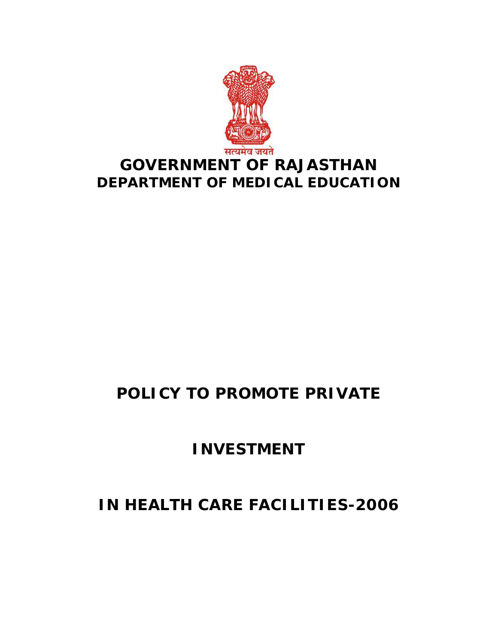

# **POLICY TO PROMOTE PRIVATE**

# **INVESTMENT**

# **IN HEALTH CARE FACILITIES-2006**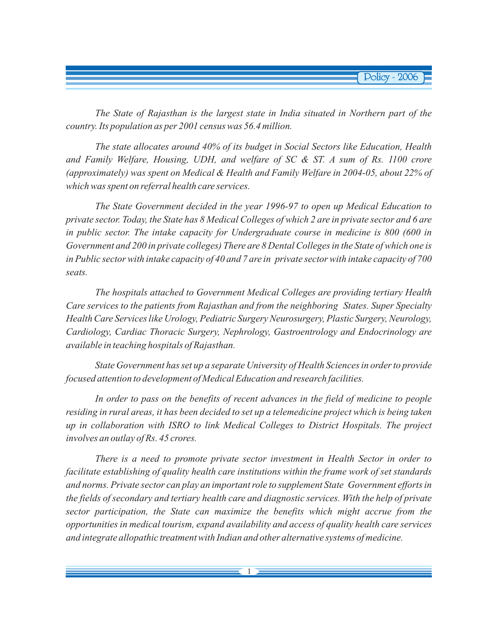*The State of Rajasthan is the largest state in India situated in Northern part of the country. Its population as per 2001 census was 56.4 million.*

*The state allocates around 40% of its budget in Social Sectors like Education, Health and Family Welfare, Housing, UDH, and welfare of SC & ST. A sum of Rs. 1100 crore (approximately) was spent on Medical & Health and Family Welfare in 2004-05, about 22% of which was spent on referral health care services.*

*The State Government decided in the year 1996-97 to open up Medical Education to private sector. Today, the State has 8 Medical Colleges of which 2 are in private sector and 6 are in public sector. The intake capacity for Undergraduate course in medicine is 800 (600 in Government and 200 in private colleges) There are 8 Dental Colleges in the State of which one is in Public sector with intake capacity of 40 and 7 are in private sector with intake capacity of 700 seats.*

*The hospitals attached to Government Medical Colleges are providing tertiary Health Care services to the patients from Rajasthan and from the neighboring States. Super Specialty Health Care Services like Urology, Pediatric Surgery Neurosurgery, Plastic Surgery, Neurology, Cardiology, Cardiac Thoracic Surgery, Nephrology, Gastroentrology and Endocrinology are available in teaching hospitals of Rajasthan.*

*State Government has set up a separate University of Health Sciences in order to provide focused attention to development of Medical Education and research facilities.*

*In order to pass on the benefits of recent advances in the field of medicine to people residing in rural areas, it has been decided to set up a telemedicine project which is being taken up in collaboration with ISRO to link Medical Colleges to District Hospitals. The project involves an outlay of Rs. 45 crores.*

*There is a need to promote private sector investment in Health Sector in order to facilitate establishing of quality health care institutions within the frame work of set standards and norms. Private sector can play an important role to supplement State Government efforts in the fields of secondary and tertiary health care and diagnostic services. With the help of private sector participation, the State can maximize the benefits which might accrue from the opportunities in medical tourism, expand availability and access of quality health care services and integrate allopathic treatment with Indian and other alternative systems of medicine.*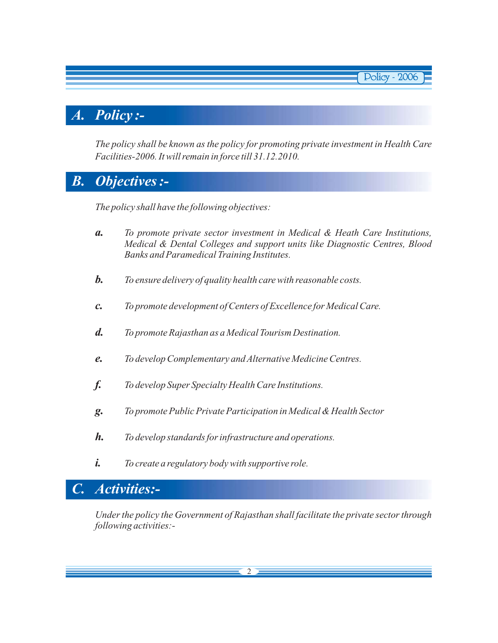# *A. Policy :-*

*The policy shall be known as the policy for promoting private investment in Health Care Facilities-2006. It will remain in force till 31.12.2010.*

**Policy - 2006** 

# *B. Objectives :-*

*The policy shall have the following objectives:*

- *To promote private sector investment in Medical & Heath Care Institutions, Medical & Dental Colleges and support units like Diagnostic Centres, Blood Banks and Paramedical Training Institutes. a.*
- *To ensure delivery of quality health care with reasonable costs. b.*
- *To promote development of Centers of Excellence for Medical Care. c.*
- *To promote Rajasthan as a Medical Tourism Destination. d.*
- *To develop Complementary and Alternative Medicine Centres. e.*
- *To develop Super Specialty Health Care Institutions. f.*
- *To promote Public Private Participation in Medical & Health Sector g.*
- *To develop standards for infrastructure and operations. h.*
- *To create a regulatory body with supportive role. i.*

## *C. Activities:-*

*Under the policy the Government of Rajasthan shall facilitate the private sector through following activities:-*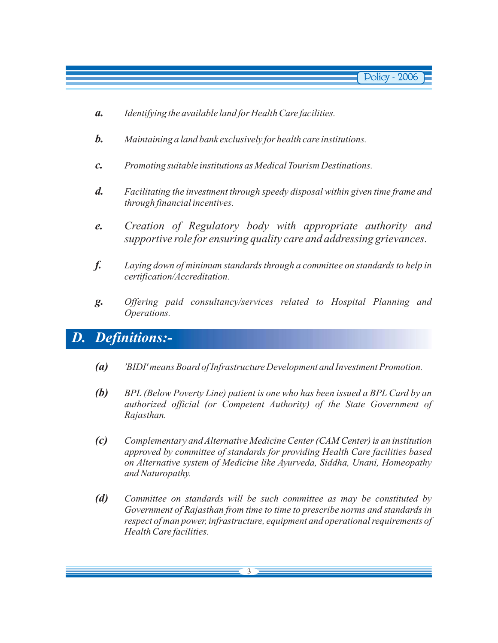- *Identifying the available land for Health Care facilities. a.*
- *Maintaining a land bank exclusively for health care institutions. b.*
- *Promoting suitable institutions as Medical Tourism Destinations. c.*
- *Facilitating the investment through speedy disposal within given time frame and through financial incentives. d.*
- *e. Creation of Regulatory body with appropriate authority and supportive role for ensuring quality care and addressing grievances.*
- *Laying down of minimum standards through a committee on standards to help in certification/Accreditation. f.*
- *Offering paid consultancy/services related to Hospital Planning and Operations. g.*

## *D. Definitions:-*

- *'BIDI' means Board of Infrastructure Development and Investment Promotion. (a)*
- *BPL (Below Poverty Line) patient is one who has been issued a BPL Card by an authorized official (or Competent Authority) of the State Government of Rajasthan. (b)*
- *Complementary and Alternative Medicine Center (CAM Center) is an institution approved by committee of standards for providing Health Care facilities based on Alternative system of Medicine like Ayurveda, Siddha, Unani, Homeopathy and Naturopathy. (c)*
- *Committee on standards will be such committee as may be constituted by Government of Rajasthan from time to time to prescribe norms and standards in respect of man power, infrastructure, equipment and operational requirements of Health Care facilities. (d)*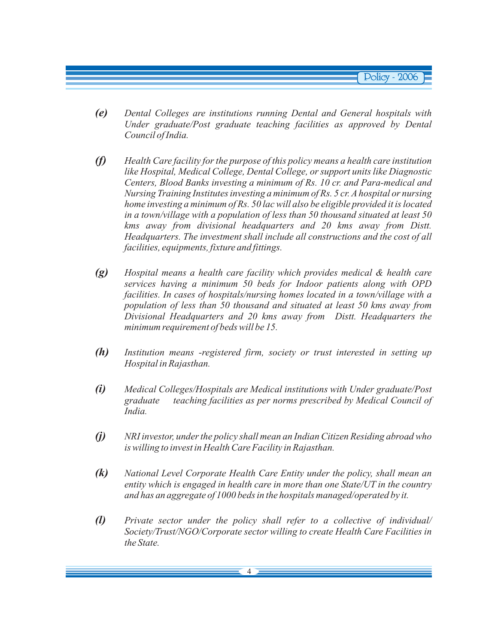- *Dental Colleges are institutions running Dental and General hospitals with Under graduate/Post graduate teaching facilities as approved by Dental Council of India. (e)*
- *Health Care facility for the purpose of this policy means a health care institution like Hospital, Medical College, Dental College, or support units like Diagnostic Centers, Blood Banks investing a minimum of Rs. 10 cr. and Para-medical and Nursing Training Institutes investing a minimum of Rs. 5 cr. A hospital or nursing home investing a minimum of Rs. 50 lac will also be eligible provided it is located in a town/village with a population of less than 50 thousand situated at least 50 kms away from divisional headquarters and 20 kms away from Distt. Headquarters. The investment shall include all constructions and the cost of all facilities, equipments, fixture and fittings. (f)*
- *Hospital means a health care facility which provides medical & health care services having a minimum 50 beds for Indoor patients along with OPD facilities. In cases of hospitals/nursing homes located in a town/village with a population of less than 50 thousand and situated at least 50 kms away from Divisional Headquarters and 20 kms away from Distt. Headquarters the minimum requirement of beds will be 15. (g)*
- *Institution means -registered firm, society or trust interested in setting up Hospital in Rajasthan. (h)*
- *Medical Colleges/Hospitals are Medical institutions with Under graduate/Post graduate teaching facilities as per norms prescribed by Medical Council of India. (i)*
- *NRI investor, under the policy shall mean an Indian Citizen Residing abroad who is willing to invest in Health Care Facility in Rajasthan. (j)*
- *National Level Corporate Health Care Entity under the policy, shall mean an entity which is engaged in health care in more than one State/UT in the country and has an aggregate of 1000 beds in the hospitals managed/operated by it. (k)*
- *Private sector under the policy shall refer to a collective of individual/ Society/Trust/NGO/Corporate sector willing to create Health Care Facilities in the State. (l)*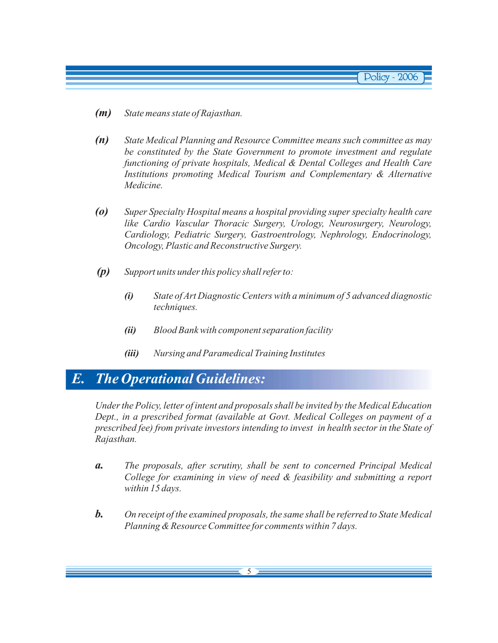- *State means state of Rajasthan. (m)*
- *State Medical Planning and Resource Committee means such committee as may be constituted by the State Government to promote investment and regulate functioning of private hospitals, Medical & Dental Colleges and Health Care Institutions promoting Medical Tourism and Complementary & Alternative Medicine. (n)*
- *Super Specialty Hospital means a hospital providing super specialty health care like Cardio Vascular Thoracic Surgery, Urology, Neurosurgery, Neurology, Cardiology, Pediatric Surgery, Gastroentrology, Nephrology, Endocrinology, Oncology, Plastic and Reconstructive Surgery. (o)*
- *Support units under this policy shall refer to: (p)*
	- *State of Art Diagnostic Centers with a minimum of 5 advanced diagnostic techniques. (i)*
	- *Blood Bank with component separation facility (ii)*
	- *Nursing and Paramedical Training Institutes (iii)*

## *E. The Operational Guidelines:*

*Under the Policy, letter of intent and proposals shall be invited by the Medical Education Dept., in a prescribed format (available at Govt. Medical Colleges on payment of a prescribed fee) from private investors intending to invest in health sector in the State of Rajasthan.*

- *The proposals, after scrutiny, shall be sent to concerned Principal Medical College for examining in view of need & feasibility and submitting a report within 15 days. a.*
- *On receipt of the examined proposals, the same shall be referred to State Medical Planning & Resource Committee for comments within 7 days. b.*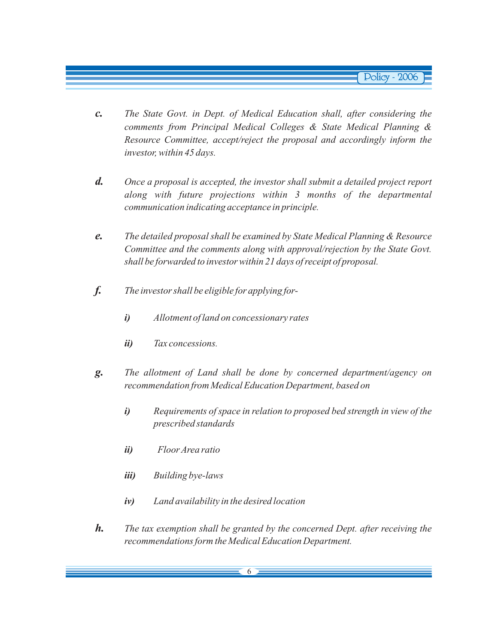- *The State Govt. in Dept. of Medical Education shall, after considering the comments from Principal Medical Colleges & State Medical Planning & Resource Committee, accept/reject the proposal and accordingly inform the investor, within 45 days. c.*
- *Once a proposal is accepted, the investor shall submit a detailed project report along with future projections within 3 months of the departmental communication indicating acceptance in principle. d.*
- *The detailed proposal shall be examined by State Medical Planning & Resource Committee and the comments along with approval/rejection by the State Govt. shall be forwarded to investor within 21 days of receipt of proposal. e.*
- *The investor shall be eligible for applying forf.*
	- *Allotment of land on concessionary rates i)*
	- *Tax concessions. ii)*
- *The allotment of Land shall be done by concerned department/agency on recommendation from Medical Education Department, based on g.*
	- *Requirements of space in relation to proposed bed strength in view of the prescribed standards i)*
	- *Floor Area ratio ii)*
	- *Building bye-laws iii)*
	- *Land availability in the desired location iv)*
- *The tax exemption shall be granted by the concerned Dept. after receiving the recommendations form the Medical Education Department. h.*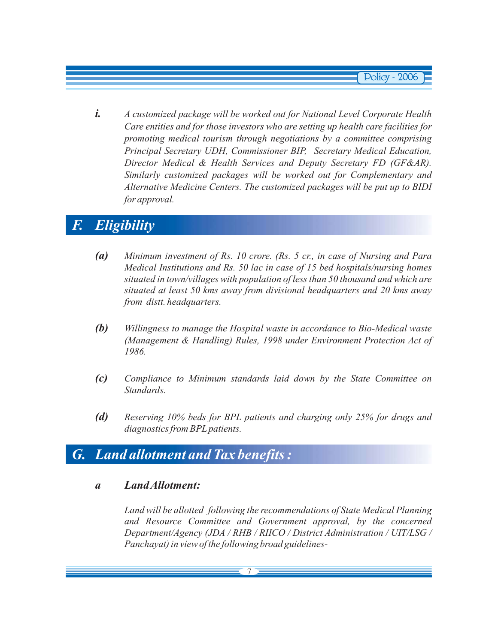*i. A customized package will be worked out for National Level Corporate Health Care entities and for those investors who are setting up health care facilities for promoting medical tourism through negotiations by a committee comprising Principal Secretary UDH, Commissioner BIP, Secretary Medical Education, Director Medical & Health Services and Deputy Secretary FD (GF&AR). Similarly customized packages will be worked out for Complementary and Alternative Medicine Centers. The customized packages will be put up to BIDI for approval.*

# *F. Eligibility*

- *(a) Minimum investment of Rs. 10 crore. (Rs. 5 cr., in case of Nursing and Para Medical Institutions and Rs. 50 lac in case of 15 bed hospitals/nursing homes situated in town/villages with population of less than 50 thousand and which are situated at least 50 kms away from divisional headquarters and 20 kms away from distt. headquarters.*
- *(b) Willingness to manage the Hospital waste in accordance to Bio-Medical waste (Management & Handling) Rules, 1998 under Environment Protection Act of 1986.*
- *(c) Compliance to Minimum standards laid down by the State Committee on Standards.*
- *(d) Reserving 10% beds for BPL patients and charging only 25% for drugs and diagnostics from BPL patients.*

## *G. Land allotment and Tax benefits :*

### *a LandAllotment:*

*Land will be allotted following the recommendations of State Medical Planning and Resource Committee and Government approval, by the concerned Department/Agency (JDA / RHB / RIICO / District Administration / UIT/LSG / Panchayat) in view of the following broad guidelines-*

7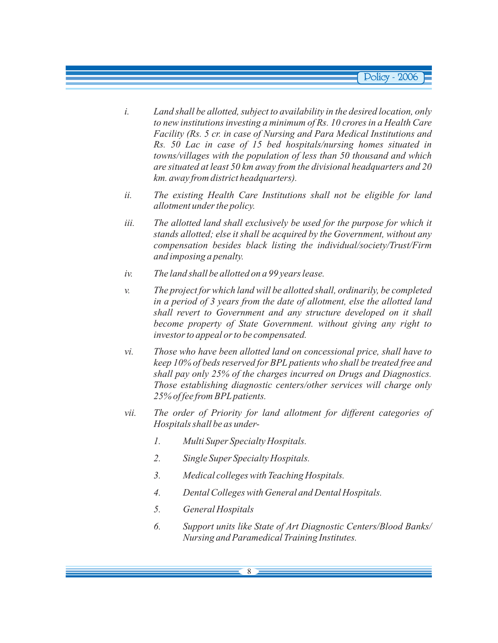- *i. Land shall be allotted, subject to availability in the desired location, only to new institutions investing a minimum of Rs. 10 crores in a Health Care Facility (Rs. 5 cr. in case of Nursing and Para Medical Institutions and Rs. 50 Lac in case of 15 bed hospitals/nursing homes situated in towns/villages with the population of less than 50 thousand and which are situated at least 50 km away from the divisional headquarters and 20 km. away from district headquarters).*
- *ii. The existing Health Care Institutions shall not be eligible for land allotment under the policy.*
- *iii. The allotted land shall exclusively be used for the purpose for which it stands allotted; else it shall be acquired by the Government, without any compensation besides black listing the individual/society/Trust/Firm and imposing a penalty.*
- *iv. The land shall be allotted on a 99 years lease.*
- *v. The project for which land will be allotted shall, ordinarily, be completed in a period of 3 years from the date of allotment, else the allotted land shall revert to Government and any structure developed on it shall become property of State Government. without giving any right to investor to appeal or to be compensated.*
- *vi. Those who have been allotted land on concessional price, shall have to keep 10% of beds reserved for BPL patients who shall be treated free and shall pay only 25% of the charges incurred on Drugs and Diagnostics. Those establishing diagnostic centers/other services will charge only 25% of fee from BPL patients.*
- *vii. The order of Priority for land allotment for different categories of Hospitals shall be as under-*
	- *1. Multi Super Specialty Hospitals.*
	- *2. Single Super Specialty Hospitals.*
	- *3. Medical colleges with Teaching Hospitals.*
	- *4. Dental Colleges with General and Dental Hospitals.*
	- *5. General Hospitals*
	- *6. Support units like State of Art Diagnostic Centers/Blood Banks/ Nursing and Paramedical Training Institutes.*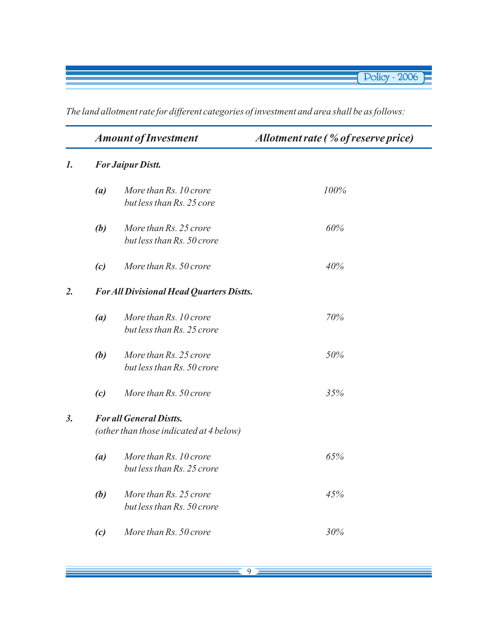*The land allotment rate for different categories of investment and area shall be as follows:*

|                |                                                                           | <b>Amount of Investment</b>                          | Allotment rate (% of reserve price) |  |  |
|----------------|---------------------------------------------------------------------------|------------------------------------------------------|-------------------------------------|--|--|
| $\mathbf{I}$ . |                                                                           | <b>For Jaipur Distt.</b>                             |                                     |  |  |
|                | (a)                                                                       | More than Rs. 10 crore<br>but less than Rs. 25 core  | 100%                                |  |  |
|                | (b)                                                                       | More than Rs. 25 crore<br>but less than Rs. 50 crore | 60%                                 |  |  |
|                | (c)                                                                       | More than Rs. 50 crore                               | 40%                                 |  |  |
| 2.             | <b>For All Divisional Head Quarters Distts.</b>                           |                                                      |                                     |  |  |
|                | (a)                                                                       | More than Rs. 10 crore<br>but less than Rs. 25 crore | 70%                                 |  |  |
|                | (b)                                                                       | More than Rs. 25 crore<br>but less than Rs. 50 crore | 50%                                 |  |  |
|                | (c)                                                                       | More than Rs. 50 crore                               | 35%                                 |  |  |
| 3.             | <b>For all General Distts.</b><br>(other than those indicated at 4 below) |                                                      |                                     |  |  |
|                | (a)                                                                       | More than Rs. 10 crore<br>but less than Rs. 25 crore | 65%                                 |  |  |
|                | (b)                                                                       | More than Rs. 25 crore<br>but less than Rs. 50 crore | 45%                                 |  |  |
|                | (c)                                                                       | More than Rs. 50 crore                               | 30%                                 |  |  |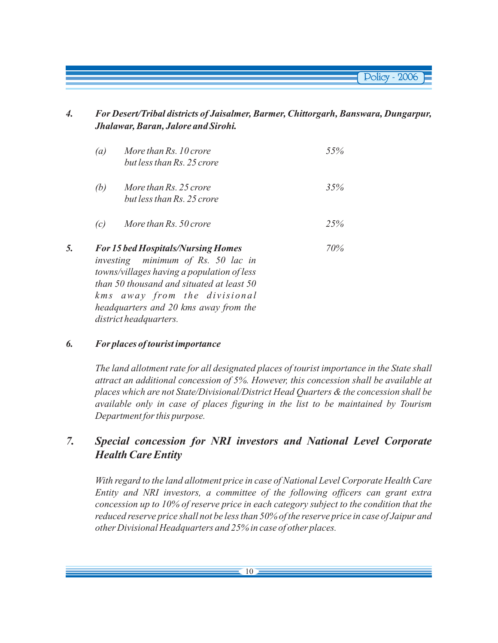*4. For Desert/Tribal districts of Jaisalmer, Barmer, Chittorgarh, Banswara, Dungarpur, Jhalawar, Baran, Jalore and Sirohi.*

|    | (a) | More than Rs. 10 crore<br>but less than Rs. 25 crore                                                                                                                                                       | 55% |
|----|-----|------------------------------------------------------------------------------------------------------------------------------------------------------------------------------------------------------------|-----|
|    | (b) | More than Rs. 25 crore<br>but less than Rs. 25 crore                                                                                                                                                       | 35% |
|    | (c) | More than Rs. 50 crore                                                                                                                                                                                     | 25% |
| 5. |     | <b>For 15 bed Hospitals/Nursing Homes</b><br>investing minimum of Rs. 50 lac in<br>towns/villages having a population of less<br>than 50 thousand and situated at least 50<br>kms away from the divisional | 70% |

#### *6. For places of tourist importance*

*district headquarters.*

*headquarters and 20 kms away from the*

*The land allotment rate for all designated places of tourist importance in the State shall attract an additional concession of 5%. However, this concession shall be available at places which are not State/Divisional/District Head Quarters & the concession shall be available only in case of places figuring in the list to be maintained by Tourism Department for this purpose.*

### *7. Special concession for NRI investors and National Level Corporate Health Care Entity*

*With regard to the land allotment price in case of National Level Corporate Health Care Entity and NRI investors, a committee of the following officers can grant extra concession up to 10% of reserve price in each category subject to the condition that the reduced reserve price shall not be less than 50% of the reserve price in case of Jaipur and other Divisional Headquarters and 25% in case of other places.*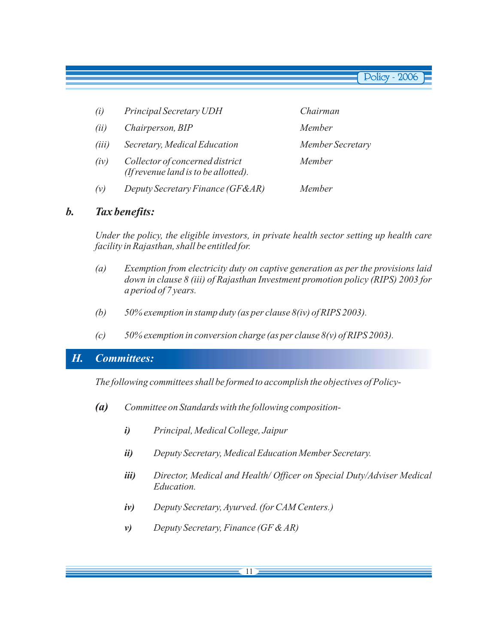| (i)   | Principal Secretary UDH                                                 | Chairman         |
|-------|-------------------------------------------------------------------------|------------------|
| (ii)  | Chairperson, BIP                                                        | Member           |
| (iii) | Secretary, Medical Education                                            | Member Secretary |
| (iv)  | Collector of concerned district<br>(If revenue land is to be allotted). | Member           |
| (v)   | Deputy Secretary Finance (GF&AR)                                        | Member           |

### *b. Tax benefits:*

*Under the policy, the eligible investors, in private health sector setting up health care facility in Rajasthan, shall be entitled for.*

- *(a) Exemption from electricity duty on captive generation as per the provisions laid down in clause 8 (iii) of Rajasthan Investment promotion policy (RIPS) 2003 for a period of 7 years.*
- *(b) 50% exemption in stamp duty (as per clause 8(iv) of RIPS 2003).*
- *(c) 50% exemption in conversion charge (as per clause 8(v) of RIPS 2003).*

### *H. Committees:*

*The following committees shall be formed to accomplish the objectives of Policy-*

- *Committee on Standards with the following composition-(a)*
	- *Principal, Medical College, Jaipur i)*
	- *Deputy Secretary, Medical Education Member Secretary. ii)*
	- *Director, Medical and Health/ Officer on Special Duty/Adviser Medical Education. iii)*
	- *Deputy Secretary, Ayurved. (for CAM Centers.) iv)*
	- *Deputy Secretary, Finance (GF & AR) v)*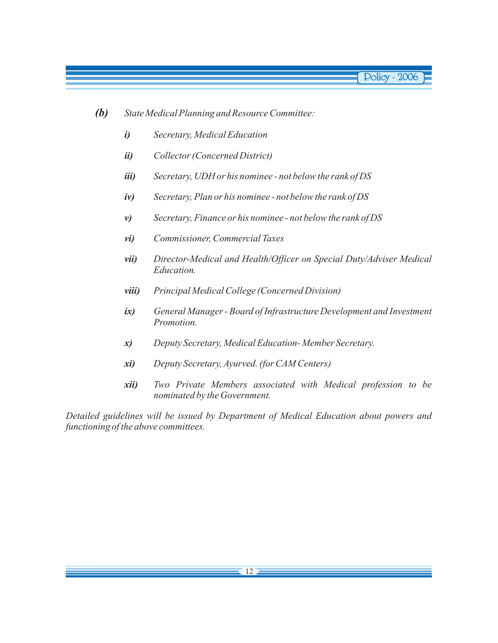- *State Medical Planning and Resource Committee: (b)*
	- *Secretary, Medical Education i)*
	- *Collector (Concerned District) ii)*
	- *Secretary, UDH or his nominee not below the rank of DS iii)*
	- *Secretary, Plan or his nominee not below the rank of DS iv)*
	- *Secretary, Finance or his nominee not below the rank of DS v)*
	- *Commissioner, Commercial Taxes vi)*
	- *Director-Medical and Health/Officer on Special Duty/Adviser Medical Education. vii)*
	- *Principal Medical College (Concerned Division) viii)*
	- *General Manager Board of Infrastructure Development and Investment Promotion. ix)*
	- *Deputy Secretary, Medical Education- Member Secretary. x)*
	- *Deputy Secretary, Ayurved. (for CAM Centers) xi)*
	- *Two Private Members associated with Medical profession to be nominated by the Government. xii)*

*Detailed guidelines will be issued by Department of Medical Education about powers and functioning of the above committees.*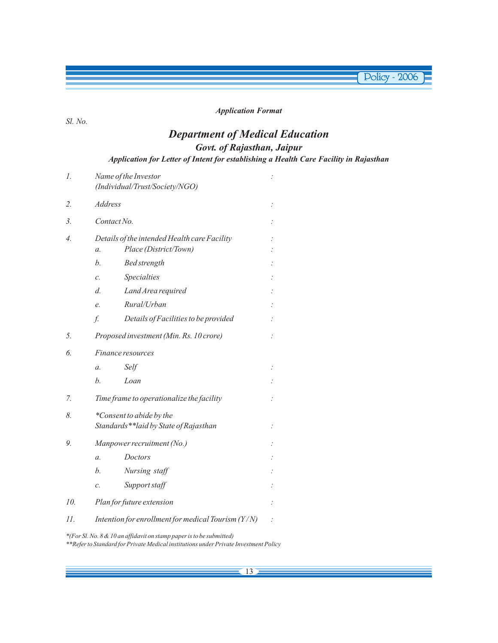#### *Application Format*

**Policy - 2006** 

#### *Sl. No.*

### *Department of Medical Education Govt. of Rajasthan, Jaipur*

*Application for Letter of Intent for establishing a Health Care Facility in Rajasthan*

| 1.               | Name of the Investor<br>(Individual/Trust/Society/NGO)                                   |                                                      |  |  |  |
|------------------|------------------------------------------------------------------------------------------|------------------------------------------------------|--|--|--|
| 2.               | <b>Address</b>                                                                           |                                                      |  |  |  |
| 3.               | Contact No.                                                                              |                                                      |  |  |  |
| $\overline{4}$ . | Details of the intended Health care Facility<br>Place (District/Town)<br>$\mathfrak{a}.$ |                                                      |  |  |  |
|                  | h.                                                                                       | <b>Bed</b> strength                                  |  |  |  |
|                  | $\mathcal{C}$ .                                                                          | Specialties                                          |  |  |  |
|                  | d.                                                                                       | Land Area required                                   |  |  |  |
|                  | e.                                                                                       | Rural/Urban                                          |  |  |  |
|                  | f.                                                                                       | Details of Facilities to be provided                 |  |  |  |
| 5.               |                                                                                          | Proposed investment (Min. Rs. 10 crore)              |  |  |  |
| 6.               | Finance resources                                                                        |                                                      |  |  |  |
|                  | $\mathfrak{a}.$                                                                          | Self                                                 |  |  |  |
|                  | h.                                                                                       | Loan                                                 |  |  |  |
| 7.               | Time frame to operationalize the facility                                                |                                                      |  |  |  |
| 8.               | *Consent to abide by the                                                                 |                                                      |  |  |  |
|                  |                                                                                          | Standards**laid by State of Rajasthan                |  |  |  |
| 9.               | Manpower recruitment (No.)                                                               |                                                      |  |  |  |
|                  | $\mathfrak{a}.$                                                                          | Doctors                                              |  |  |  |
|                  | h.                                                                                       | Nursing staff                                        |  |  |  |
|                  | $\mathcal{C}$ .                                                                          | Support staff                                        |  |  |  |
| 10.              | Plan for future extension                                                                |                                                      |  |  |  |
| 11.              |                                                                                          | Intention for enrollment for medical Tourism $(Y/N)$ |  |  |  |

*\*(For Sl. No. 8 & 10 an affidavit on stamp paper is to be submitted)*

*\*\*Refer to Standard for Private Medical institutions under Private Investment Policy*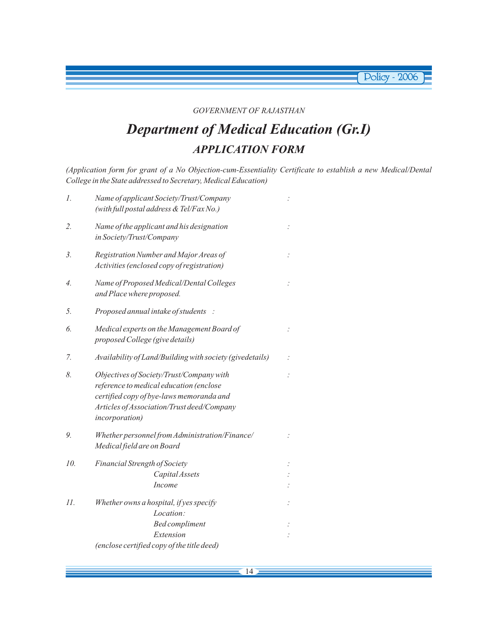#### *GOVERNMENT OF RAJASTHAN*

**Policy - 2006** 

# *Department of Medical Education (Gr.I) APPLICATION FORM*

*(Application form for grant of a No Objection-cum-Essentiality Certificate to establish a new Medical/Dental College in the State addressed to Secretary, Medical Education)*

| 1.               | Name of applicant Society/Trust/Company<br>(with full postal address & Tel/Fax No.)                                                                                                             |   |
|------------------|-------------------------------------------------------------------------------------------------------------------------------------------------------------------------------------------------|---|
| 2.               | Name of the applicant and his designation<br>in Society/Trust/Company                                                                                                                           |   |
| $\mathfrak{Z}$ . | Registration Number and Major Areas of<br>Activities (enclosed copy of registration)                                                                                                            |   |
| 4.               | Name of Proposed Medical/Dental Colleges<br>and Place where proposed.                                                                                                                           |   |
| 5.               | Proposed annual intake of students                                                                                                                                                              |   |
| 6.               | Medical experts on the Management Board of<br>proposed College (give details)                                                                                                                   | ÷ |
| 7.               | Availability of Land/Building with society (givedetails)                                                                                                                                        |   |
| 8.               | Objectives of Society/Trust/Company with<br>reference to medical education (enclose<br>certified copy of bye-laws memoranda and<br>Articles of Association/Trust deed/Company<br>incorporation) |   |
| 9.               | Whether personnel from Administration/Finance/<br>Medical field are on Board                                                                                                                    |   |
| 10.              | Financial Strength of Society<br>Capital Assets<br>Income                                                                                                                                       |   |
| 11.              | Whether owns a hospital, if yes specify<br>Location:<br><b>Bed</b> compliment<br>Extension                                                                                                      |   |
|                  | (enclose certified copy of the title deed)                                                                                                                                                      |   |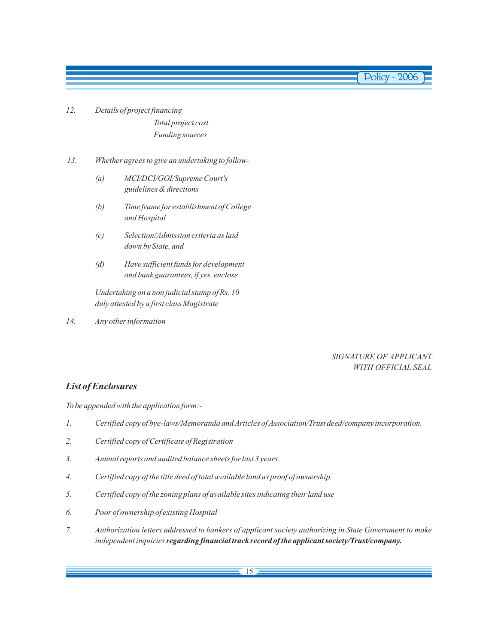- *12. Details of project financing Total project cost Funding sources*
- *13. Whether agrees to give an undertaking to follow-*
	- *(a) MCI/DCI/GOI/Supreme Court's guidelines & directions*
	- *(b) Time frame for establishment of College and Hospital*
	- *(c) Selection/Admission criteria as laid down by State, and*
	- *(d) Have sufficient funds for development and bank guarantees, if yes, enclose*

*Undertaking on a non judicial stamp of Rs. 10 duly attested by a first class Magistrate*

*14. Any other information*

#### *SIGNATURE OF APPLICANT WITH OFFICIAL SEAL*

#### *List of Enclosures*

*To be appended with the application form:-*

- *1. Certified copy of bye-laws/Memoranda and Articles of Association/Trust deed/company incorporation.*
- *2. Certified copy of Certificate of Registration*
- *3. Annual reports and audited balance sheets for last 3 years.*
- *4. Certified copy of the title deed of total available land as proof of ownership.*
- *5. Certified copy of the zoning plans of available sites indicating their land use*
- *6. Poor of ownership of existing Hospital*
- *7. Authorization letters addressed to bankers of applicant society authorizing in State Government to make independent inquiries regarding financial track record of the applicant society/Trust/company.*